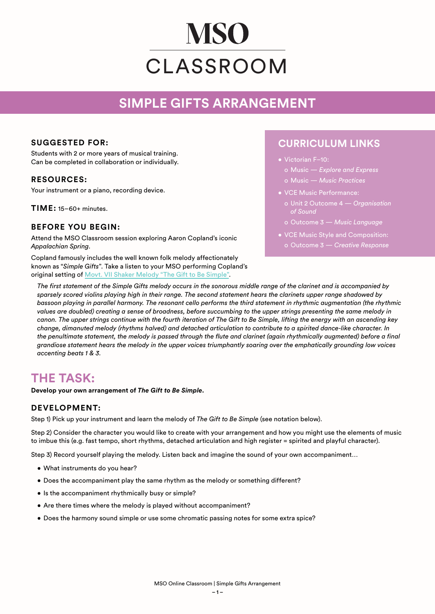# **MSO** CLASSROOM

## **SIMPLE GIFTS ARRANGEMENT**

#### **SUGGESTED FOR:**

Students with 2 or more years of musical training. Can be completed in collaboration or individually.

#### **RESOURCES:**

Your instrument or a piano, recording device.

**TIME:** 15–60+ minutes.

#### **BEFORE YOU BEGIN:**

Attend the MSO Classroom session exploring Aaron Copland's iconic *Appalachian Spring*.

Copland famously includes the well known folk melody affectionately known as "*Simple Gifts*". Take a listen to your MSO performing Copland's original setting of [Movt. VII Shaker Melody "The Gift to Be Simple"](https://www.youtube.com/watch?v=hMXyRLj9Q-Q&list=OLAK5uy_kJIzgpTePXeurQ7czDYIz2o3D6AE9upsU&index=16).

### **CURRICULUM LINKS**

- Victorian F–10:
	- o Music *Explore and Express* o Music — *Music Practices*
- VCE Music Performance:
	- o Unit 2 Outcome 4 *Organisation of Sound*
	- o Outcome 3 *Music Language*
- VCE Music Style and Composition:
	- o Outcome 3 *Creative Response*

*The first statement of the Simple Gifts melody occurs in the sonorous middle range of the clarinet and is accompanied by sparsely scored violins playing high in their range. The second statement hears the clarinets upper range shadowed by bassoon playing in parallel harmony. The resonant cello performs the third statement in rhythmic augmentation (the rhythmic values are doubled) creating a sense of broadness, before succumbing to the upper strings presenting the same melody in canon. The upper strings continue with the fourth iteration of The Gift to Be Simple, lifting the energy with an ascending key change, dimanuted melody (rhythms halved) and detached articulation to contribute to a spirited dance-like character. In the penultimate statement, the melody is passed through the flute and clarinet (again rhythmically augmented) before a final grandiose statement hears the melody in the upper voices triumphantly soaring over the emphatically grounding low voices accenting beats 1 & 3.* 

## **THE TASK:**

**Develop your own arrangement of** *The Gift to Be Simple***.**

#### **DEVELOPMENT:**

Step 1) Pick up your instrument and learn the melody of *The Gift to Be Simple* (see notation below).

Step 2) Consider the character you would like to create with your arrangement and how you might use the elements of music to imbue this (e.g. fast tempo, short rhythms, detached articulation and high register = spirited and playful character).

Step 3) Record yourself playing the melody. Listen back and imagine the sound of your own accompaniment…

- What instruments do you hear?
- Does the accompaniment play the same rhythm as the melody or something different?
- Is the accompaniment rhythmically busy or simple?
- Are there times where the melody is played without accompaniment?
- Does the harmony sound simple or use some chromatic passing notes for some extra spice?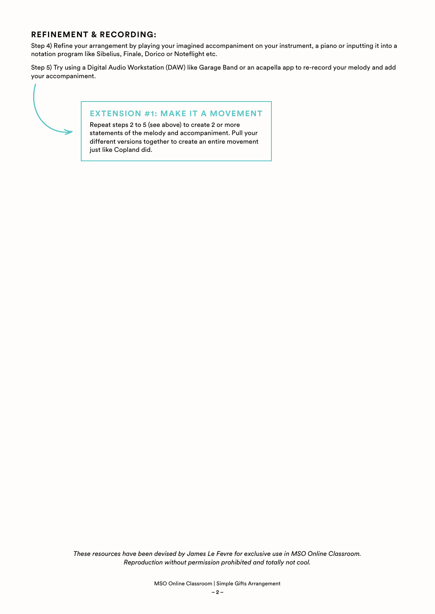#### **REFINEMENT & RECORDING:**

Step 4) Refine your arrangement by playing your imagined accompaniment on your instrument, a piano or inputting it into a notation program like Sibelius, Finale, Dorico or Noteflight etc.

Step 5) Try using a Digital Audio Workstation (DAW) like Garage Band or an acapella app to re-record your melody and add your accompaniment.



#### **EXTENSION #1: MAKE IT A MOVEMENT**

Repeat steps 2 to 5 (see above) to create 2 or more statements of the melody and accompaniment. Pull your different versions together to create an entire movement just like Copland did.

*These resources have been devised by James Le Fevre for exclusive use in MSO Online Classroom. Reproduction without permission prohibited and totally not cool.*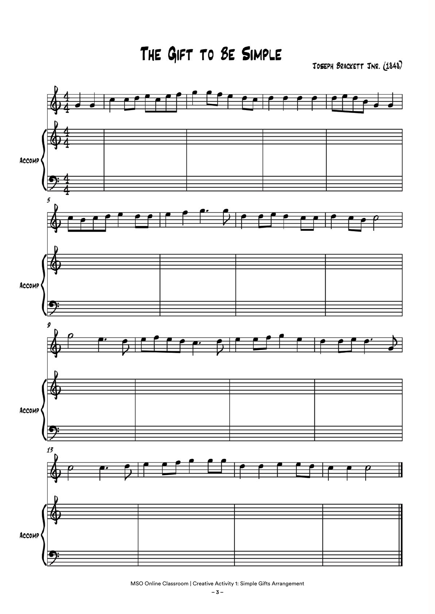THE GIFT TO BE SIMPLE

JOSEPH BRACKETT JNR. (1848)



MSO Online Classroom | Creative Activity 1: Simple Gifts Arrangement